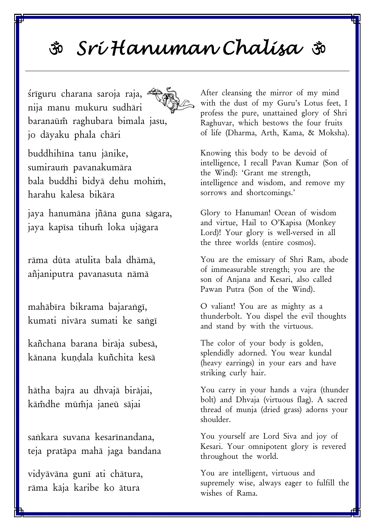## 30 Srí Hanuman Chalísa so

śrīguru charana saroja raja, nija manu mukuru sudhāri baranaūm raghubara bimala jasu, jo dāyaku phala chāri

buddhihīna tanu jānike, sumiraum pavanakumāra bala buddhi bidya dehu mohim, harahu kalesa bikāra

jaya hanumāna jñāna guna sāgara, jaya kapīsa tihum loka ujāgara

rāma dūta atulita bala dhāmā, añjaniputra pavanasuta nāmā

mahābīra bikrama bajarangī, kumati nivāra sumati ke sangī

kañchana barana birāja subesā, kānana kundala kuñchita kesā

hātha bajra au dhvajā birājai, kāmdhe mūmja janeū sājai

sankara suvana kesarīnandana. teja pratāpa mahā jaga bandana

vidyāvāna gunī ati chātura, rāma kāja karibe ko ātura

After cleansing the mirror of my mind with the dust of my Guru's Lotus feet, I profess the pure, unattained glory of Shri Raghuvar, which bestows the four fruits of life (Dharma, Arth, Kama, & Moksha).

Knowing this body to be devoid of intelligence, I recall Pavan Kumar (Son of the Wind): 'Grant me strength, intelligence and wisdom, and remove my sorrows and shortcomings.'

Glory to Hanuman! Ocean of wisdom and virtue, Hail to O'Kapisa (Monkey Lord)! Your glory is well-versed in all the three worlds (entire cosmos).

You are the emissary of Shri Ram, abode of immeasurable strength; you are the son of Anjana and Kesari, also called Pawan Putra (Son of the Wind).

O valiant! You are as mighty as a thunderbolt. You dispel the evil thoughts and stand by with the virtuous.

The color of your body is golden, splendidly adorned. You wear kundal (heavy earrings) in your ears and have striking curly hair.

You carry in your hands a vajra (thunder bolt) and Dhvaja (virtuous flag). A sacred thread of munia (dried grass) adorns your shoulder.

You yourself are Lord Siva and joy of Kesari. Your omnipotent glory is revered throughout the world.

You are intelligent, virtuous and supremely wise, always eager to fulfill the wishes of Rama.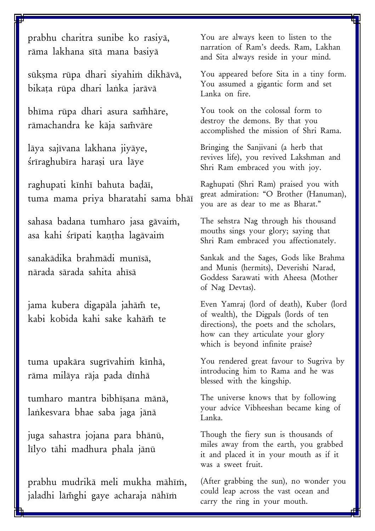prabhu charitra sunibe ko rasiya, rāma lakhana sītā mana basiyā

sūkşma rūpa dhari siyahim dikhāvā, bikata rūpa dhari lanka jarāvā

bhīma rūpa dhari asura samhāre, rāmachandra ke kāja samvāre

lāya sajīvana lakhana jiyāye, śrīraghubīra harași ura lāye

raghupati kīnhī bahuta badāī, tuma mama priya bharatahi sama bhāī

sahasa badana tumharo jasa gāvaim, asa kahi śrīpati kantha lagāvaim

sanakādika brahmādi munīsā, nārada sārada sahita ahīsā

jama kubera digapāla jahām te, kabi kobida kahi sake kahām te

tuma upakāra sugrīvahim kīnhā, rāma milāya rāja pada dīnhā

tumharo mantra bibhīsana mānā, lankesvara bhae saba jaga jānā

juga sahastra jojana para bhānū, līlyo tāhi madhura phala jānū

prabhu mudrikā meli mukha māhīm, jaladhi lām̃ghi gaye acharaja nāhīm

You are always keen to listen to the narration of Ram's deeds. Ram, Lakhan and Sita always reside in your mind.

You appeared before Sita in a tiny form. You assumed a gigantic form and set Lanka on fire.

You took on the colossal form to destroy the demons. By that you accomplished the mission of Shri Rama.

Bringing the Sanjivani (a herb that revives life), you revived Lakshman and Shri Ram embraced you with joy.

Raghupati (Shri Ram) praised you with great admiration: "O Brother (Hanuman), you are as dear to me as Bharat."

The sehstra Nag through his thousand mouths sings your glory; saying that Shri Ram embraced you affectionately.

Sankak and the Sages, Gods like Brahma and Munis (hermits), Deverishi Narad, Goddess Sarawati with Aheesa (Mother of Nag Devtas).

Even Yamraj (lord of death), Kuber (lord of wealth), the Digpals (lords of ten directions), the poets and the scholars, how can they articulate your glory which is beyond infinite praise?

You rendered great favour to Sugriva by introducing him to Rama and he was blessed with the kingship.

The universe knows that by following your advice Vibheeshan became king of Lanka.

Though the fiery sun is thousands of miles away from the earth, you grabbed it and placed it in your mouth as if it was a sweet fruit.

(After grabbing the sun), no wonder you could leap across the vast ocean and carry the ring in your mouth.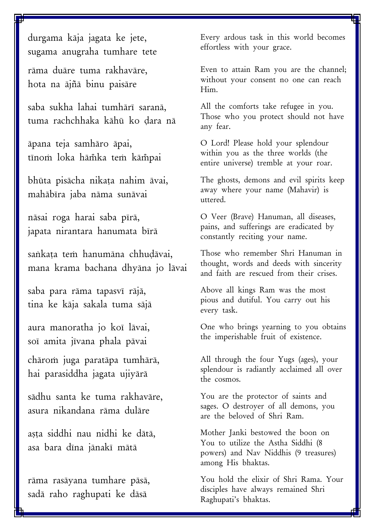durgama kāja jagata ke jete, sugama anugraha tumhare tete

rāma duāre tuma rakhavāre, hota na ājñā binu paisāre

saba sukha lahai tumhārī saranā. tuma rachchhaka kāhū ko dara nā

āpana teja samhāro āpai, tīnom loka hāmka tem kāmpai

bhūta pisācha nikata nahim āvai, mahābīra jaba nāma sunāvai

nāsai roga harai saba pīrā, japata nirantara hanumata bīrā

sankata tem hanumāna chhudāvai, mana krama bachana dhyāna jo lāvai

saba para rāma tapasvī rājā, tina ke kāja sakala tuma sājā

aura manoratha jo koī lāvai, soī amita jīvana phala pāvai

chārom juga paratāpa tumhārā, hai parasiddha jagata ujiyārā

sādhu santa ke tuma rakhavāre, asura nikandana rāma dulāre

așța siddhi nau nidhi ke dātā, asa bara dīna jānakī mātā

rāma rasāyana tumhare pāsā, sadā raho raghupati ke dāsā

Every ardous task in this world becomes effortless with your grace.

Even to attain Ram you are the channel; without your consent no one can reach Him.

All the comforts take refugee in you. Those who you protect should not have any fear.

O Lord! Please hold your splendour within you as the three worlds (the entire universe) tremble at your roar.

The ghosts, demons and evil spirits keep away where your name (Mahavir) is uttered.

O Veer (Brave) Hanuman, all diseases, pains, and sufferings are eradicated by constantly reciting your name.

Those who remember Shri Hanuman in thought, words and deeds with sincerity and faith are rescued from their crises.

Above all kings Ram was the most pious and dutiful. You carry out his every task.

One who brings yearning to you obtains the imperishable fruit of existence.

All through the four Yugs (ages), your splendour is radiantly acclaimed all over the cosmos.

You are the protector of saints and sages. O destroyer of all demons, you are the beloved of Shri Ram.

Mother Janki bestowed the boon on You to utilize the Astha Siddhi (8 powers) and Nav Niddhis (9 treasures) among His bhaktas.

You hold the elixir of Shri Rama. Your disciples have always remained Shri Raghupati's bhaktas.